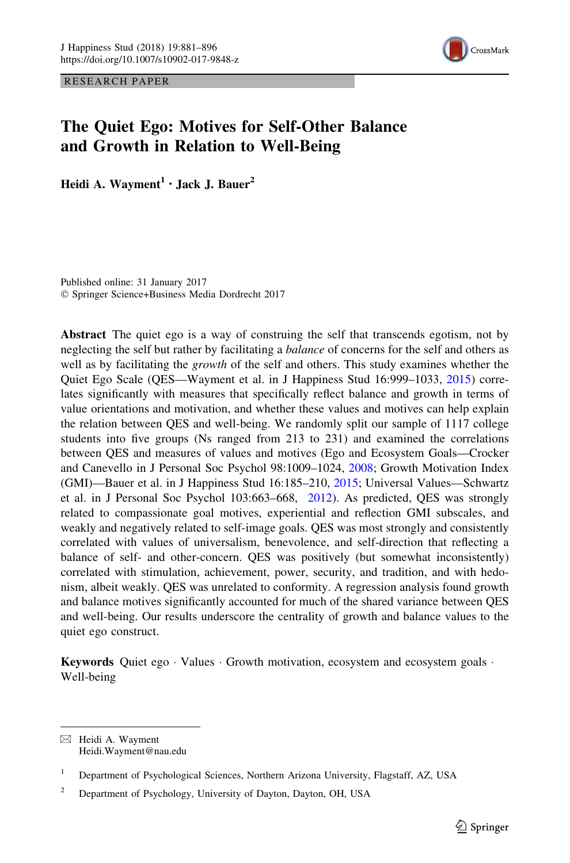RESEARCH PAPER



# The Quiet Ego: Motives for Self-Other Balance and Growth in Relation to Well-Being

Heidi A. Wayment $1 \cdot$  Jack J. Bauer<sup>2</sup>

Published online: 31 January 2017 - Springer Science+Business Media Dordrecht 2017

Abstract The quiet ego is a way of construing the self that transcends egotism, not by neglecting the self but rather by facilitating a *balance* of concerns for the self and others as well as by facilitating the *growth* of the self and others. This study examines whether the Quiet Ego Scale (QES—Wayment et al. in J Happiness Stud 16:999-1033, [2015](#page-15-0)) correlates significantly with measures that specifically reflect balance and growth in terms of value orientations and motivation, and whether these values and motives can help explain the relation between QES and well-being. We randomly split our sample of 1117 college students into five groups (Ns ranged from 213 to 231) and examined the correlations between QES and measures of values and motives (Ego and Ecosystem Goals—Crocker and Canevello in J Personal Soc Psychol 98:1009–1024, [2008;](#page-14-0) Growth Motivation Index (GMI)—Bauer et al. in J Happiness Stud 16:185–210, [2015](#page-13-0); Universal Values—Schwartz et al. in J Personal Soc Psychol 103:663–668, [2012](#page-15-0)). As predicted, QES was strongly related to compassionate goal motives, experiential and reflection GMI subscales, and weakly and negatively related to self-image goals. QES was most strongly and consistently correlated with values of universalism, benevolence, and self-direction that reflecting a balance of self- and other-concern. QES was positively (but somewhat inconsistently) correlated with stimulation, achievement, power, security, and tradition, and with hedonism, albeit weakly. QES was unrelated to conformity. A regression analysis found growth and balance motives significantly accounted for much of the shared variance between QES and well-being. Our results underscore the centrality of growth and balance values to the quiet ego construct.

Keywords Quiet ego · Values · Growth motivation, ecosystem and ecosystem goals · Well-being

 $\boxtimes$  Heidi A. Wayment Heidi.Wayment@nau.edu

<sup>&</sup>lt;sup>1</sup> Department of Psychological Sciences, Northern Arizona University, Flagstaff, AZ, USA

<sup>&</sup>lt;sup>2</sup> Department of Psychology, University of Dayton, Dayton, OH, USA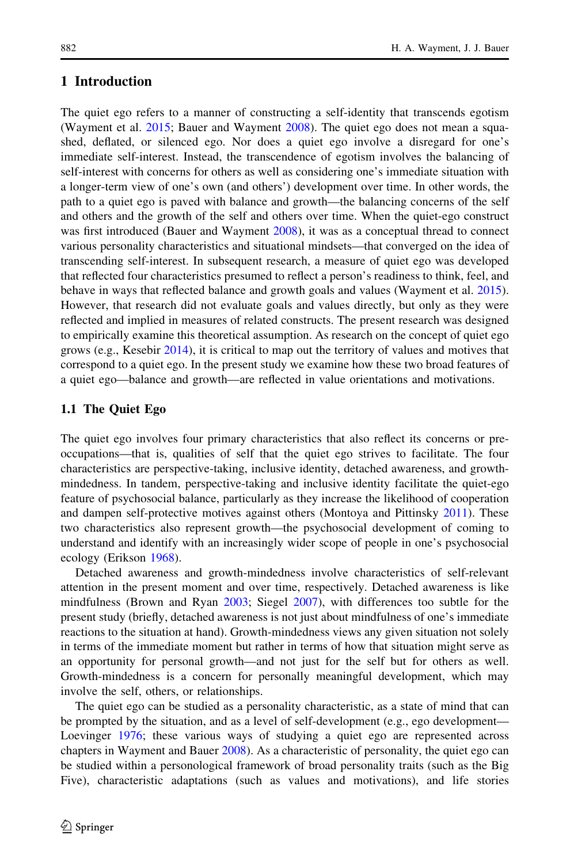# 1 Introduction

The quiet ego refers to a manner of constructing a self-identity that transcends egotism (Wayment et al. [2015;](#page-15-0) Bauer and Wayment [2008](#page-13-0)). The quiet ego does not mean a squashed, deflated, or silenced ego. Nor does a quiet ego involve a disregard for one's immediate self-interest. Instead, the transcendence of egotism involves the balancing of self-interest with concerns for others as well as considering one's immediate situation with a longer-term view of one's own (and others') development over time. In other words, the path to a quiet ego is paved with balance and growth—the balancing concerns of the self and others and the growth of the self and others over time. When the quiet-ego construct was first introduced (Bauer and Wayment [2008\)](#page-13-0), it was as a conceptual thread to connect various personality characteristics and situational mindsets—that converged on the idea of transcending self-interest. In subsequent research, a measure of quiet ego was developed that reflected four characteristics presumed to reflect a person's readiness to think, feel, and behave in ways that reflected balance and growth goals and values (Wayment et al. [2015](#page-15-0)). However, that research did not evaluate goals and values directly, but only as they were reflected and implied in measures of related constructs. The present research was designed to empirically examine this theoretical assumption. As research on the concept of quiet ego grows (e.g., Kesebir [2014](#page-14-0)), it is critical to map out the territory of values and motives that correspond to a quiet ego. In the present study we examine how these two broad features of a quiet ego—balance and growth—are reflected in value orientations and motivations.

### 1.1 The Quiet Ego

The quiet ego involves four primary characteristics that also reflect its concerns or preoccupations—that is, qualities of self that the quiet ego strives to facilitate. The four characteristics are perspective-taking, inclusive identity, detached awareness, and growthmindedness. In tandem, perspective-taking and inclusive identity facilitate the quiet-ego feature of psychosocial balance, particularly as they increase the likelihood of cooperation and dampen self-protective motives against others (Montoya and Pittinsky [2011\)](#page-14-0). These two characteristics also represent growth—the psychosocial development of coming to understand and identify with an increasingly wider scope of people in one's psychosocial ecology (Erikson [1968\)](#page-14-0).

Detached awareness and growth-mindedness involve characteristics of self-relevant attention in the present moment and over time, respectively. Detached awareness is like mindfulness (Brown and Ryan [2003](#page-13-0); Siegel [2007](#page-15-0)), with differences too subtle for the present study (briefly, detached awareness is not just about mindfulness of one's immediate reactions to the situation at hand). Growth-mindedness views any given situation not solely in terms of the immediate moment but rather in terms of how that situation might serve as an opportunity for personal growth—and not just for the self but for others as well. Growth-mindedness is a concern for personally meaningful development, which may involve the self, others, or relationships.

The quiet ego can be studied as a personality characteristic, as a state of mind that can be prompted by the situation, and as a level of self-development (e.g., ego development— Loevinger [1976;](#page-14-0) these various ways of studying a quiet ego are represented across chapters in Wayment and Bauer [2008](#page-15-0)). As a characteristic of personality, the quiet ego can be studied within a personological framework of broad personality traits (such as the Big Five), characteristic adaptations (such as values and motivations), and life stories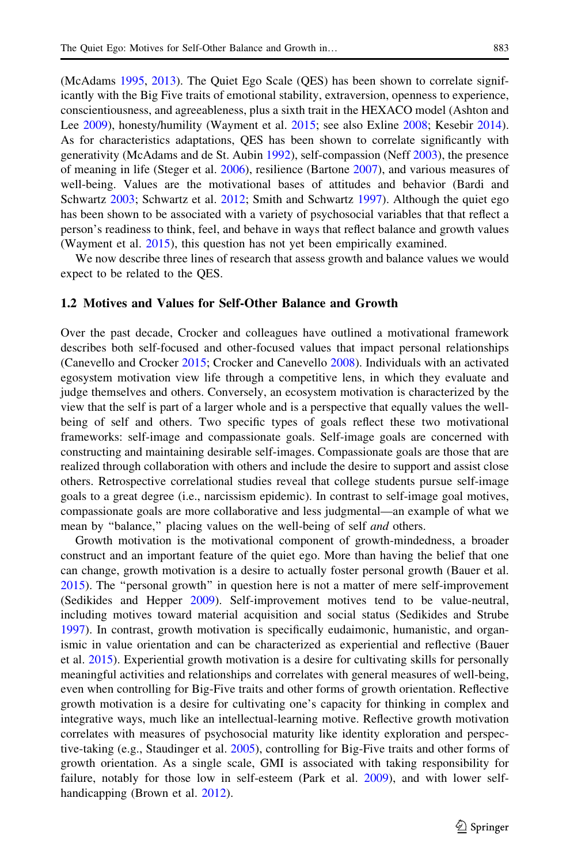(McAdams [1995](#page-14-0), [2013\)](#page-14-0). The Quiet Ego Scale (QES) has been shown to correlate significantly with the Big Five traits of emotional stability, extraversion, openness to experience, conscientiousness, and agreeableness, plus a sixth trait in the HEXACO model (Ashton and Lee [2009](#page-13-0)), honesty/humility (Wayment et al. [2015;](#page-15-0) see also Exline [2008;](#page-14-0) Kesebir [2014](#page-14-0)). As for characteristics adaptations, QES has been shown to correlate significantly with generativity (McAdams and de St. Aubin [1992](#page-14-0)), self-compassion (Neff [2003\)](#page-14-0), the presence of meaning in life (Steger et al. [2006](#page-15-0)), resilience (Bartone [2007](#page-13-0)), and various measures of well-being. Values are the motivational bases of attitudes and behavior (Bardi and Schwartz [2003](#page-13-0); Schwartz et al. [2012](#page-15-0); Smith and Schwartz [1997\)](#page-15-0). Although the quiet ego has been shown to be associated with a variety of psychosocial variables that that reflect a person's readiness to think, feel, and behave in ways that reflect balance and growth values (Wayment et al. [2015](#page-15-0)), this question has not yet been empirically examined.

We now describe three lines of research that assess growth and balance values we would expect to be related to the QES.

### 1.2 Motives and Values for Self-Other Balance and Growth

Over the past decade, Crocker and colleagues have outlined a motivational framework describes both self-focused and other-focused values that impact personal relationships (Canevello and Crocker [2015](#page-13-0); Crocker and Canevello [2008\)](#page-13-0). Individuals with an activated egosystem motivation view life through a competitive lens, in which they evaluate and judge themselves and others. Conversely, an ecosystem motivation is characterized by the view that the self is part of a larger whole and is a perspective that equally values the wellbeing of self and others. Two specific types of goals reflect these two motivational frameworks: self-image and compassionate goals. Self-image goals are concerned with constructing and maintaining desirable self-images. Compassionate goals are those that are realized through collaboration with others and include the desire to support and assist close others. Retrospective correlational studies reveal that college students pursue self-image goals to a great degree (i.e., narcissism epidemic). In contrast to self-image goal motives, compassionate goals are more collaborative and less judgmental—an example of what we mean by "balance," placing values on the well-being of self and others.

Growth motivation is the motivational component of growth-mindedness, a broader construct and an important feature of the quiet ego. More than having the belief that one can change, growth motivation is a desire to actually foster personal growth (Bauer et al. [2015\)](#page-13-0). The ''personal growth'' in question here is not a matter of mere self-improvement (Sedikides and Hepper [2009\)](#page-15-0). Self-improvement motives tend to be value-neutral, including motives toward material acquisition and social status (Sedikides and Strube [1997\)](#page-15-0). In contrast, growth motivation is specifically eudaimonic, humanistic, and organismic in value orientation and can be characterized as experiential and reflective (Bauer et al. [2015](#page-13-0)). Experiential growth motivation is a desire for cultivating skills for personally meaningful activities and relationships and correlates with general measures of well-being, even when controlling for Big-Five traits and other forms of growth orientation. Reflective growth motivation is a desire for cultivating one's capacity for thinking in complex and integrative ways, much like an intellectual-learning motive. Reflective growth motivation correlates with measures of psychosocial maturity like identity exploration and perspective-taking (e.g., Staudinger et al. [2005\)](#page-15-0), controlling for Big-Five traits and other forms of growth orientation. As a single scale, GMI is associated with taking responsibility for failure, notably for those low in self-esteem (Park et al. [2009\)](#page-14-0), and with lower selfhandicapping (Brown et al. [2012\)](#page-13-0).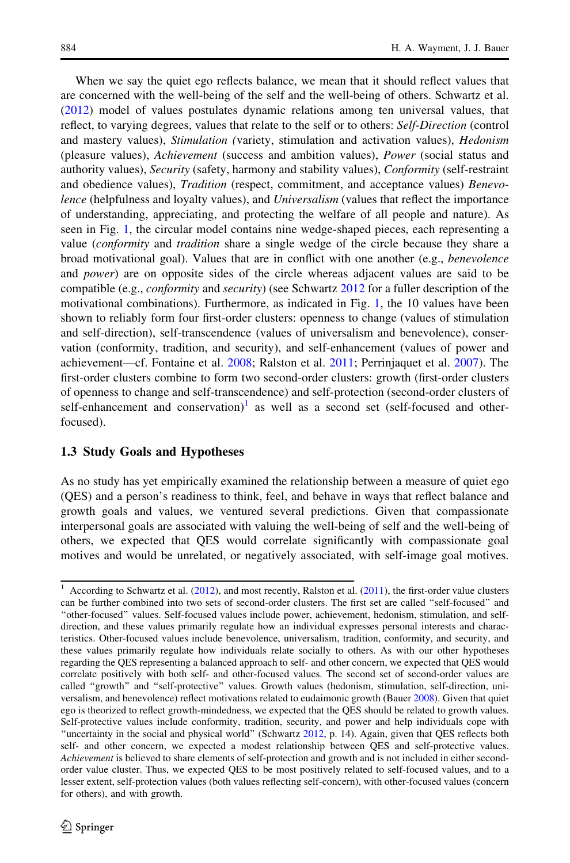When we say the quiet ego reflects balance, we mean that it should reflect values that are concerned with the well-being of the self and the well-being of others. Schwartz et al. ([2012\)](#page-15-0) model of values postulates dynamic relations among ten universal values, that reflect, to varying degrees, values that relate to the self or to others: Self-Direction (control and mastery values), *Stimulation* (variety, stimulation and activation values), *Hedonism* (pleasure values), Achievement (success and ambition values), Power (social status and authority values), Security (safety, harmony and stability values), Conformity (self-restraint and obedience values), *Tradition* (respect, commitment, and acceptance values) *Benevo*lence (helpfulness and loyalty values), and Universalism (values that reflect the importance of understanding, appreciating, and protecting the welfare of all people and nature). As seen in Fig. [1,](#page-4-0) the circular model contains nine wedge-shaped pieces, each representing a value (conformity and tradition share a single wedge of the circle because they share a broad motivational goal). Values that are in conflict with one another (e.g., benevolence and *power*) are on opposite sides of the circle whereas adjacent values are said to be compatible (e.g., *conformity* and *security*) (see Schwartz [2012](#page-14-0) for a fuller description of the motivational combinations). Furthermore, as indicated in Fig. [1](#page-4-0), the 10 values have been shown to reliably form four first-order clusters: openness to change (values of stimulation and self-direction), self-transcendence (values of universalism and benevolence), conservation (conformity, tradition, and security), and self-enhancement (values of power and achievement—cf. Fontaine et al. [2008](#page-14-0); Ralston et al. [2011](#page-14-0); Perrinjaquet et al. [2007](#page-14-0)). The first-order clusters combine to form two second-order clusters: growth (first-order clusters of openness to change and self-transcendence) and self-protection (second-order clusters of self-enhancement and conservation)<sup>1</sup> as well as a second set (self-focused and other-

focused).

# 1.3 Study Goals and Hypotheses

As no study has yet empirically examined the relationship between a measure of quiet ego (QES) and a person's readiness to think, feel, and behave in ways that reflect balance and growth goals and values, we ventured several predictions. Given that compassionate interpersonal goals are associated with valuing the well-being of self and the well-being of others, we expected that QES would correlate significantly with compassionate goal motives and would be unrelated, or negatively associated, with self-image goal motives.

<sup>&</sup>lt;sup>1</sup> According to Schwartz et al.  $(2012)$  $(2012)$ , and most recently, Ralston et al.  $(2011)$  $(2011)$ , the first-order value clusters can be further combined into two sets of second-order clusters. The first set are called ''self-focused'' and ''other-focused'' values. Self-focused values include power, achievement, hedonism, stimulation, and selfdirection, and these values primarily regulate how an individual expresses personal interests and characteristics. Other-focused values include benevolence, universalism, tradition, conformity, and security, and these values primarily regulate how individuals relate socially to others. As with our other hypotheses regarding the QES representing a balanced approach to self- and other concern, we expected that QES would correlate positively with both self- and other-focused values. The second set of second-order values are called ''growth'' and ''self-protective'' values. Growth values (hedonism, stimulation, self-direction, universalism, and benevolence) reflect motivations related to eudaimonic growth (Bauer [2008\)](#page-13-0). Given that quiet ego is theorized to reflect growth-mindedness, we expected that the QES should be related to growth values. Self-protective values include conformity, tradition, security, and power and help individuals cope with ''uncertainty in the social and physical world'' (Schwartz [2012,](#page-14-0) p. 14). Again, given that QES reflects both self- and other concern, we expected a modest relationship between QES and self-protective values. Achievement is believed to share elements of self-protection and growth and is not included in either secondorder value cluster. Thus, we expected QES to be most positively related to self-focused values, and to a lesser extent, self-protection values (both values reflecting self-concern), with other-focused values (concern for others), and with growth.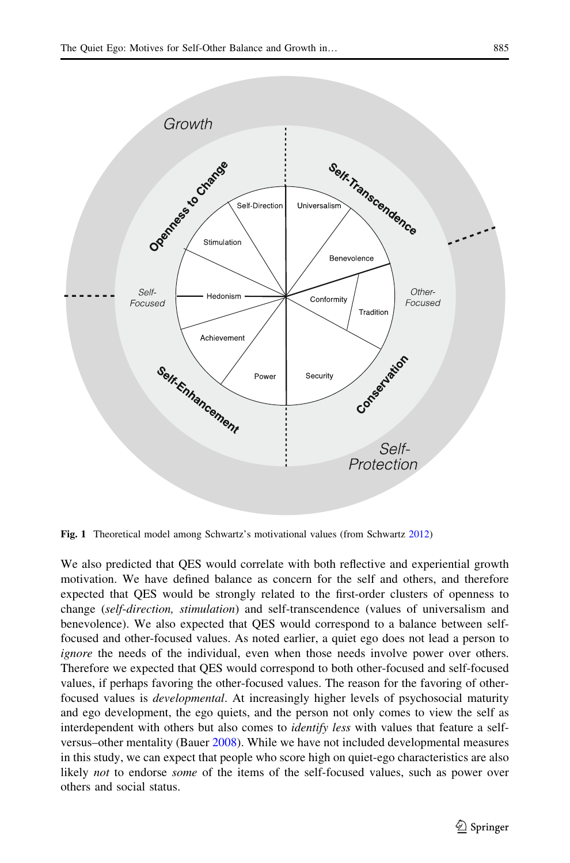<span id="page-4-0"></span>

Fig. 1 Theoretical model among Schwartz's motivational values (from Schwartz [2012](#page-14-0))

We also predicted that QES would correlate with both reflective and experiential growth motivation. We have defined balance as concern for the self and others, and therefore expected that QES would be strongly related to the first-order clusters of openness to change (self-direction, stimulation) and self-transcendence (values of universalism and benevolence). We also expected that QES would correspond to a balance between selffocused and other-focused values. As noted earlier, a quiet ego does not lead a person to ignore the needs of the individual, even when those needs involve power over others. Therefore we expected that QES would correspond to both other-focused and self-focused values, if perhaps favoring the other-focused values. The reason for the favoring of otherfocused values is *developmental*. At increasingly higher levels of psychosocial maturity and ego development, the ego quiets, and the person not only comes to view the self as interdependent with others but also comes to *identify less* with values that feature a selfversus–other mentality (Bauer [2008\)](#page-13-0). While we have not included developmental measures in this study, we can expect that people who score high on quiet-ego characteristics are also likely *not* to endorse *some* of the items of the self-focused values, such as power over others and social status.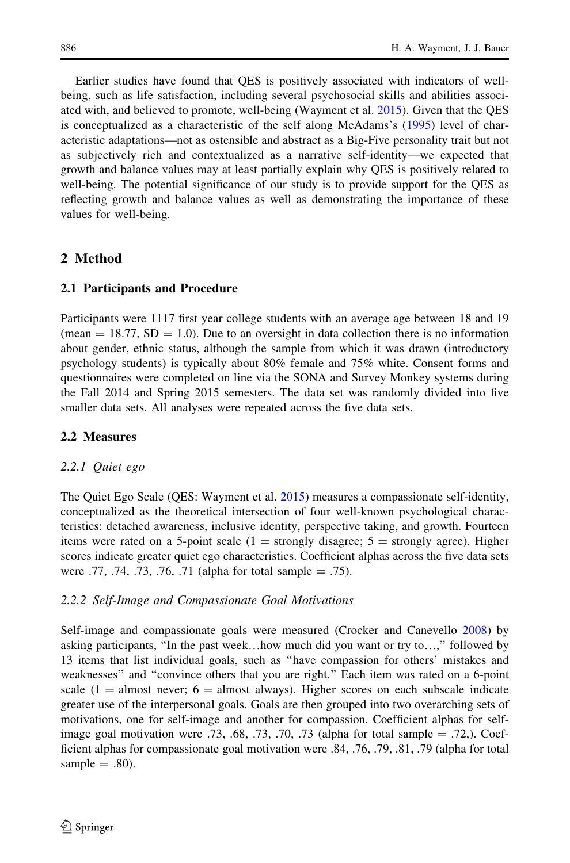Earlier studies have found that QES is positively associated with indicators of wellbeing, such as life satisfaction, including several psychosocial skills and abilities associated with, and believed to promote, well-being (Wayment et al. [2015](#page-15-0)). Given that the QES is conceptualized as a characteristic of the self along McAdams's ([1995](#page-14-0)) level of characteristic adaptations—not as ostensible and abstract as a Big-Five personality trait but not as subjectively rich and contextualized as a narrative self-identity—we expected that growth and balance values may at least partially explain why QES is positively related to well-being. The potential significance of our study is to provide support for the QES as reflecting growth and balance values as well as demonstrating the importance of these values for well-being.

# 2 Method

# 2.1 Participants and Procedure

Participants were 1117 first year college students with an average age between 18 and 19  $(mean = 18.77, SD = 1.0)$ . Due to an oversight in data collection there is no information about gender, ethnic status, although the sample from which it was drawn (introductory psychology students) is typically about 80% female and 75% white. Consent forms and questionnaires were completed on line via the SONA and Survey Monkey systems during the Fall 2014 and Spring 2015 semesters. The data set was randomly divided into five smaller data sets. All analyses were repeated across the five data sets.

# 2.2 Measures

## 2.2.1 Quiet ego

The Quiet Ego Scale (QES: Wayment et al. [2015](#page-15-0)) measures a compassionate self-identity, conceptualized as the theoretical intersection of four well-known psychological characteristics: detached awareness, inclusive identity, perspective taking, and growth. Fourteen items were rated on a 5-point scale  $(1 =$  strongly disagree;  $5 =$  strongly agree). Higher scores indicate greater quiet ego characteristics. Coefficient alphas across the five data sets were .77, .74, .73, .76, .71 (alpha for total sample = .75).

## 2.2.2 Self-Image and Compassionate Goal Motivations

Self-image and compassionate goals were measured (Crocker and Canevello [2008\)](#page-13-0) by asking participants, ''In the past week…how much did you want or try to…,'' followed by 13 items that list individual goals, such as ''have compassion for others' mistakes and weaknesses'' and ''convince others that you are right.'' Each item was rated on a 6-point scale  $(1 =$  almost never;  $6 =$  almost always). Higher scores on each subscale indicate greater use of the interpersonal goals. Goals are then grouped into two overarching sets of motivations, one for self-image and another for compassion. Coefficient alphas for selfimage goal motivation were  $.73, .68, .73, .70, .73$  (alpha for total sample  $= .72$ ). Coefficient alphas for compassionate goal motivation were .84, .76, .79, .81, .79 (alpha for total sample  $= .80$ ).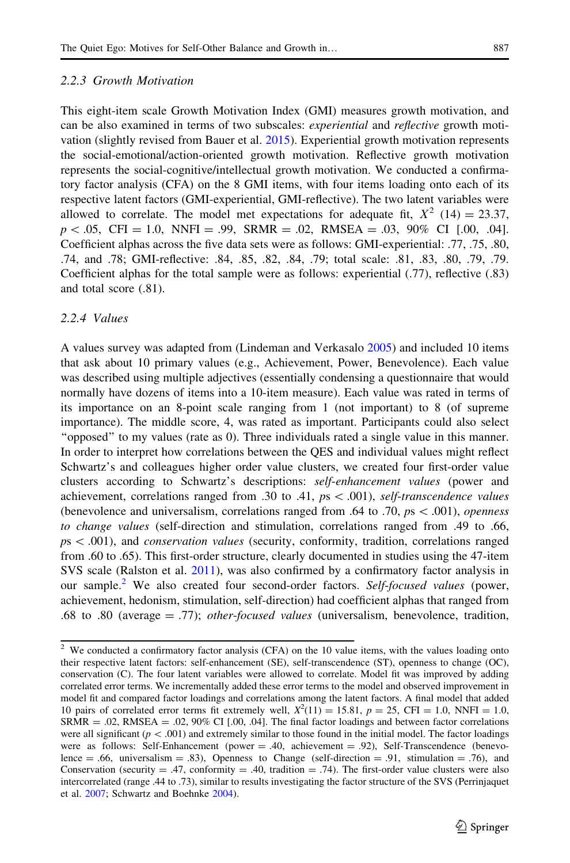#### 2.2.3 Growth Motivation

This eight-item scale Growth Motivation Index (GMI) measures growth motivation, and can be also examined in terms of two subscales: *experiential* and *reflective* growth motivation (slightly revised from Bauer et al. [2015\)](#page-13-0). Experiential growth motivation represents the social-emotional/action-oriented growth motivation. Reflective growth motivation represents the social-cognitive/intellectual growth motivation. We conducted a confirmatory factor analysis (CFA) on the 8 GMI items, with four items loading onto each of its respective latent factors (GMI-experiential, GMI-reflective). The two latent variables were allowed to correlate. The model met expectations for adequate fit,  $X^2$  (14) = 23.37,  $p \lt .05$ , CFI = 1.0, NNFI = .99, SRMR = .02, RMSEA = .03, 90% CI [.00, .04]. Coefficient alphas across the five data sets were as follows: GMI-experiential: .77, .75, .80, .74, and .78; GMI-reflective: .84, .85, .82, .84, .79; total scale: .81, .83, .80, .79, .79. Coefficient alphas for the total sample were as follows: experiential (.77), reflective (.83) and total score (.81).

### 2.2.4 Values

A values survey was adapted from (Lindeman and Verkasalo [2005](#page-14-0)) and included 10 items that ask about 10 primary values (e.g., Achievement, Power, Benevolence). Each value was described using multiple adjectives (essentially condensing a questionnaire that would normally have dozens of items into a 10-item measure). Each value was rated in terms of its importance on an 8-point scale ranging from 1 (not important) to 8 (of supreme importance). The middle score, 4, was rated as important. Participants could also select ''opposed'' to my values (rate as 0). Three individuals rated a single value in this manner. In order to interpret how correlations between the QES and individual values might reflect Schwartz's and colleagues higher order value clusters, we created four first-order value clusters according to Schwartz's descriptions: self-enhancement values (power and achievement, correlations ranged from .30 to .41,  $ps\lt 0.001$ , self-transcendence values (benevolence and universalism, correlations ranged from .64 to .70,  $ps\lt 0.001$ ), *openness* to change values (self-direction and stimulation, correlations ranged from .49 to .66,  $ps\lt 0.001$ , and *conservation values* (security, conformity, tradition, correlations ranged from .60 to .65). This first-order structure, clearly documented in studies using the 47-item SVS scale (Ralston et al. [2011\)](#page-14-0), was also confirmed by a confirmatory factor analysis in our sample.<sup>2</sup> We also created four second-order factors. Self-focused values (power, achievement, hedonism, stimulation, self-direction) had coefficient alphas that ranged from .68 to .80 (average  $= .77$ ); *other-focused values* (universalism, benevolence, tradition,

<sup>&</sup>lt;sup>2</sup> We conducted a confirmatory factor analysis (CFA) on the 10 value items, with the values loading onto their respective latent factors: self-enhancement (SE), self-transcendence (ST), openness to change (OC), conservation (C). The four latent variables were allowed to correlate. Model fit was improved by adding correlated error terms. We incrementally added these error terms to the model and observed improvement in model fit and compared factor loadings and correlations among the latent factors. A final model that added 10 pairs of correlated error terms fit extremely well,  $X^2(11) = 15.81$ ,  $p = 25$ , CFI = 1.0, NNFI = 1.0,  $SRMR = .02$ ,  $RMSEA = .02$ ,  $90\%$  CI [.00, .04]. The final factor loadings and between factor correlations were all significant ( $p < .001$ ) and extremely similar to those found in the initial model. The factor loadings were as follows: Self-Enhancement (power = .40, achievement = .92), Self-Transcendence (benevolence = .66, universalism = .83), Openness to Change (self-direction = .91, stimulation = .76), and Conservation (security  $= .47$ , conformity  $= .40$ , tradition  $= .74$ ). The first-order value clusters were also intercorrelated (range .44 to .73), similar to results investigating the factor structure of the SVS (Perrinjaquet et al. [2007;](#page-14-0) Schwartz and Boehnke [2004\)](#page-14-0).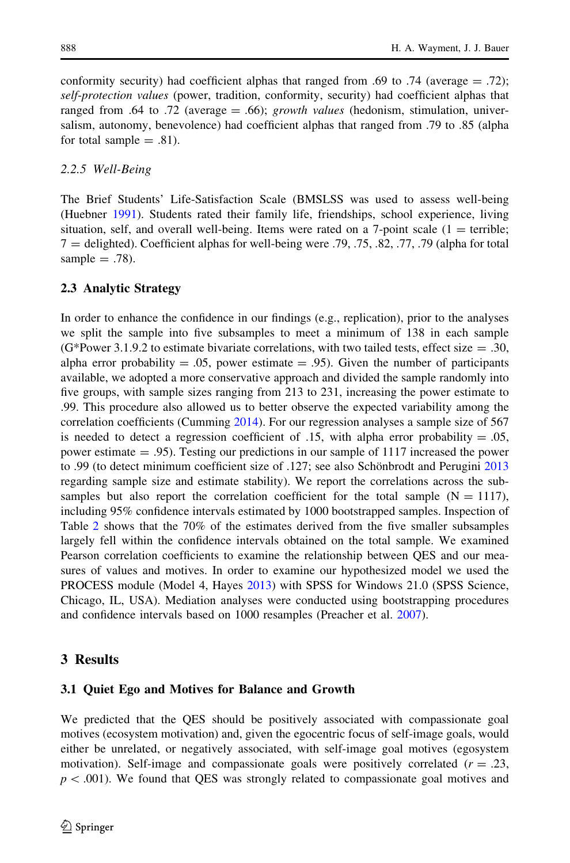conformity security) had coefficient alphas that ranged from .69 to .74 (average  $=$  .72); self-protection values (power, tradition, conformity, security) had coefficient alphas that ranged from .64 to .72 (average  $=$  .66); *growth values* (hedonism, stimulation, universalism, autonomy, benevolence) had coefficient alphas that ranged from .79 to .85 (alpha for total sample  $= .81$ ).

# 2.2.5 Well-Being

The Brief Students' Life-Satisfaction Scale (BMSLSS was used to assess well-being (Huebner [1991\)](#page-14-0). Students rated their family life, friendships, school experience, living situation, self, and overall well-being. Items were rated on a 7-point scale  $(1 = \text{terrible})$ ;  $7 =$  delighted). Coefficient alphas for well-being were .79, .75, .82, .77, .79 (alpha for total sample  $= .78$ ).

## 2.3 Analytic Strategy

In order to enhance the confidence in our findings (e.g., replication), prior to the analyses we split the sample into five subsamples to meet a minimum of 138 in each sample (G\*Power 3.1.9.2 to estimate bivariate correlations, with two tailed tests, effect size  $= .30$ , alpha error probability  $= .05$ , power estimate  $= .95$ ). Given the number of participants available, we adopted a more conservative approach and divided the sample randomly into five groups, with sample sizes ranging from 213 to 231, increasing the power estimate to .99. This procedure also allowed us to better observe the expected variability among the correlation coefficients (Cumming [2014](#page-14-0)). For our regression analyses a sample size of 567 is needed to detect a regression coefficient of .15, with alpha error probability  $= .05$ , power estimate = .95). Testing our predictions in our sample of 1117 increased the power to .99 (to detect minimum coefficient size of .127; see also Schönbrodt and Perugini [2013](#page-14-0) regarding sample size and estimate stability). We report the correlations across the subsamples but also report the correlation coefficient for the total sample  $(N = 1117)$ , including 95% confidence intervals estimated by 1000 bootstrapped samples. Inspection of Table [2](#page-10-0) shows that the 70% of the estimates derived from the five smaller subsamples largely fell within the confidence intervals obtained on the total sample. We examined Pearson correlation coefficients to examine the relationship between QES and our measures of values and motives. In order to examine our hypothesized model we used the PROCESS module (Model 4, Hayes [2013\)](#page-14-0) with SPSS for Windows 21.0 (SPSS Science, Chicago, IL, USA). Mediation analyses were conducted using bootstrapping procedures and confidence intervals based on 1000 resamples (Preacher et al. [2007](#page-14-0)).

# 3 Results

### 3.1 Quiet Ego and Motives for Balance and Growth

We predicted that the QES should be positively associated with compassionate goal motives (ecosystem motivation) and, given the egocentric focus of self-image goals, would either be unrelated, or negatively associated, with self-image goal motives (egosystem motivation). Self-image and compassionate goals were positively correlated  $(r = .23)$ ,  $p$  < .001). We found that QES was strongly related to compassionate goal motives and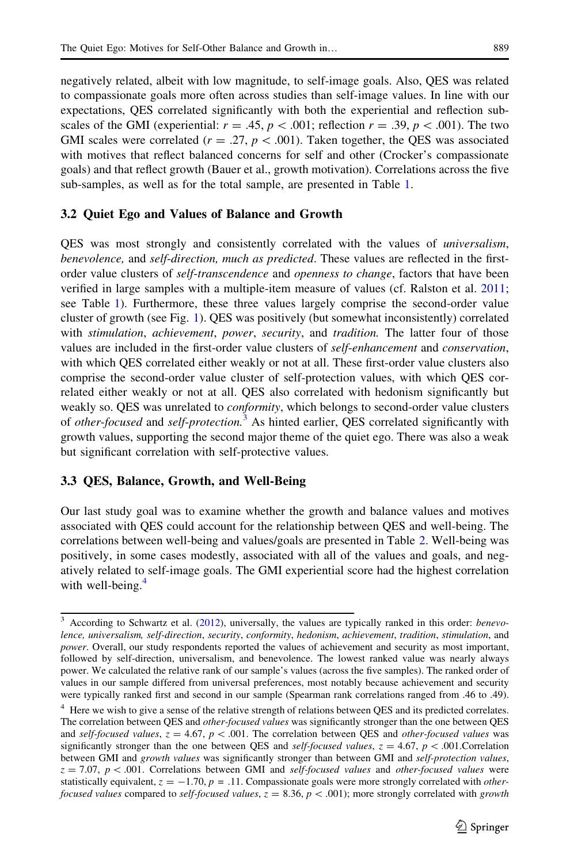negatively related, albeit with low magnitude, to self-image goals. Also, QES was related to compassionate goals more often across studies than self-image values. In line with our expectations, QES correlated significantly with both the experiential and reflection subscales of the GMI (experiential:  $r = .45$ ,  $p < .001$ ; reflection  $r = .39$ ,  $p < .001$ ). The two GMI scales were correlated  $(r = .27, p < .001)$ . Taken together, the QES was associated with motives that reflect balanced concerns for self and other (Crocker's compassionate goals) and that reflect growth (Bauer et al., growth motivation). Correlations across the five sub-samples, as well as for the total sample, are presented in Table [1.](#page-9-0)

# 3.2 Quiet Ego and Values of Balance and Growth

QES was most strongly and consistently correlated with the values of universalism, benevolence, and self-direction, much as predicted. These values are reflected in the firstorder value clusters of self-transcendence and openness to change, factors that have been verified in large samples with a multiple-item measure of values (cf. Ralston et al. [2011;](#page-14-0) see Table [1\)](#page-9-0). Furthermore, these three values largely comprise the second-order value cluster of growth (see Fig. [1\)](#page-4-0). QES was positively (but somewhat inconsistently) correlated with stimulation, achievement, power, security, and tradition. The latter four of those values are included in the first-order value clusters of self-enhancement and conservation, with which QES correlated either weakly or not at all. These first-order value clusters also comprise the second-order value cluster of self-protection values, with which QES correlated either weakly or not at all. QES also correlated with hedonism significantly but weakly so. QES was unrelated to *conformity*, which belongs to second-order value clusters of other-focused and self-protection.<sup>3</sup> As hinted earlier, QES correlated significantly with growth values, supporting the second major theme of the quiet ego. There was also a weak but significant correlation with self-protective values.

# 3.3 QES, Balance, Growth, and Well-Being

Our last study goal was to examine whether the growth and balance values and motives associated with QES could account for the relationship between QES and well-being. The correlations between well-being and values/goals are presented in Table [2](#page-10-0). Well-being was positively, in some cases modestly, associated with all of the values and goals, and negatively related to self-image goals. The GMI experiential score had the highest correlation with well-being.<sup>4</sup>

<sup>&</sup>lt;sup>3</sup> According to Schwartz et al. ([2012\)](#page-15-0), universally, the values are typically ranked in this order: *benevo*lence, universalism, self-direction, security, conformity, hedonism, achievement, tradition, stimulation, and power. Overall, our study respondents reported the values of achievement and security as most important, followed by self-direction, universalism, and benevolence. The lowest ranked value was nearly always power. We calculated the relative rank of our sample's values (across the five samples). The ranked order of values in our sample differed from universal preferences, most notably because achievement and security were typically ranked first and second in our sample (Spearman rank correlations ranged from .46 to .49).

<sup>&</sup>lt;sup>4</sup> Here we wish to give a sense of the relative strength of relations between QES and its predicted correlates. The correlation between QES and *other-focused values* was significantly stronger than the one between QES and self-focused values,  $z = 4.67$ ,  $p < .001$ . The correlation between QES and other-focused values was significantly stronger than the one between QES and self-focused values,  $z = 4.67$ ,  $p < .001$ .Correlation between GMI and *growth values* was significantly stronger than between GMI and self-protection values,  $z = 7.07$ ,  $p \lt 0.01$ . Correlations between GMI and self-focused values and other-focused values were statistically equivalent,  $z = -1.70$ ,  $p = .11$ . Compassionate goals were more strongly correlated with *other*focused values compared to self-focused values,  $z = 8.36$ ,  $p < .001$ ); more strongly correlated with growth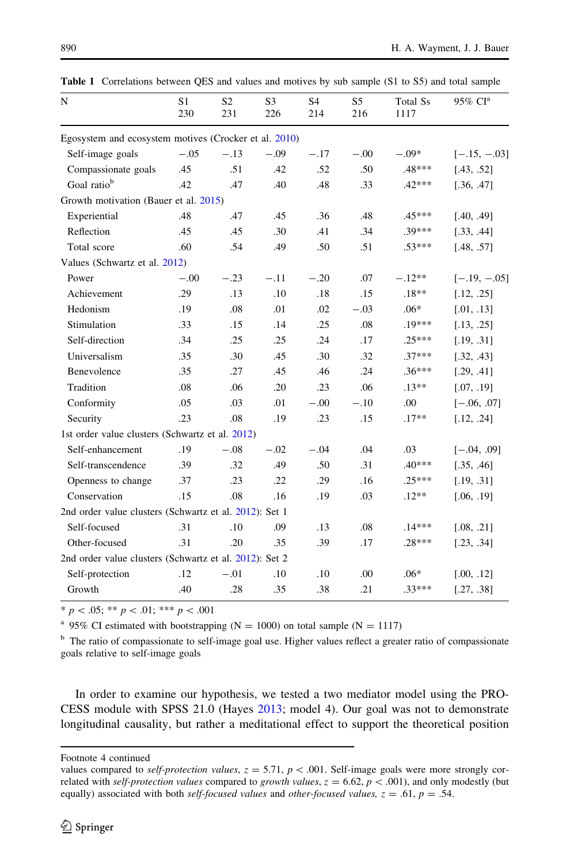| N                                                      | S <sub>1</sub><br>230 | S <sub>2</sub><br>231 | S <sub>3</sub><br>226 | S <sub>4</sub><br>214 | S <sub>5</sub><br>216 | Total Ss<br>1117 | 95% CI <sup>a</sup> |
|--------------------------------------------------------|-----------------------|-----------------------|-----------------------|-----------------------|-----------------------|------------------|---------------------|
| Egosystem and ecosystem motives (Crocker et al. 2010)  |                       |                       |                       |                       |                       |                  |                     |
| Self-image goals                                       | $-.05$                | $-.13$                | $-.09$                | $-.17$                | $-.00$                | $-.09*$          | $[-.15, -.03]$      |
| Compassionate goals                                    | .45                   | .51                   | .42                   | .52                   | .50                   | $.48***$         | [.43, .52]          |
| Goal ratio <sup>b</sup>                                | .42                   | .47                   | .40                   | .48                   | .33                   | $.42***$         | [.36, .47]          |
| Growth motivation (Bauer et al. 2015)                  |                       |                       |                       |                       |                       |                  |                     |
| Experiential                                           | .48                   | .47                   | .45                   | .36                   | .48                   | .45***           | [.40, .49]          |
| Reflection                                             | .45                   | .45                   | .30                   | .41                   | .34                   | $.39***$         | [.33, .44]          |
| Total score                                            | .60                   | .54                   | .49                   | .50                   | .51                   | $.53***$         | [.48, .57]          |
| Values (Schwartz et al. 2012)                          |                       |                       |                       |                       |                       |                  |                     |
| Power                                                  | $-.00$                | $-.23$                | $-.11$                | $-.20$                | .07                   | $-.12**$         | $[-.19, -.05]$      |
| Achievement                                            | .29                   | .13                   | .10                   | .18                   | .15                   | $.18**$          | [.12, .25]          |
| Hedonism                                               | .19                   | .08                   | .01                   | .02                   | $-.03$                | $.06*$           | [.01, .13]          |
| Stimulation                                            | .33                   | .15                   | .14                   | .25                   | .08                   | $.19***$         | [.13, .25]          |
| Self-direction                                         | .34                   | .25                   | .25                   | .24                   | .17                   | $.25***$         | [.19, .31]          |
| Universalism                                           | .35                   | .30                   | .45                   | .30                   | .32                   | $.37***$         | [.32, .43]          |
| Benevolence                                            | .35                   | .27                   | .45                   | .46                   | .24                   | $.36***$         | [.29, .41]          |
| Tradition                                              | .08                   | .06                   | .20                   | .23                   | .06                   | $.13***$         | [.07, .19]          |
| Conformity                                             | .05                   | .03                   | .01                   | $-.00$                | $-.10$                | .00              | $[-.06, .07]$       |
| Security                                               | .23                   | .08                   | .19                   | .23                   | .15                   | $.17**$          | [.12, .24]          |
| 1st order value clusters (Schwartz et al. 2012)        |                       |                       |                       |                       |                       |                  |                     |
| Self-enhancement                                       | .19                   | $-.08$                | $-.02$                | $-.04$                | .04                   | .03              | $[-.04, .09]$       |
| Self-transcendence                                     | .39                   | .32                   | .49                   | .50                   | .31                   | $.40***$         | [.35, .46]          |
| Openness to change                                     | .37                   | .23                   | .22                   | .29                   | .16                   | $.25***$         | [.19, .31]          |
| Conservation                                           | .15                   | .08                   | .16                   | .19                   | .03                   | $.12**$          | [.06, .19]          |
| 2nd order value clusters (Schwartz et al. 2012): Set 1 |                       |                       |                       |                       |                       |                  |                     |
| Self-focused                                           | .31                   | .10                   | .09                   | .13                   | .08                   | $.14***$         | [.08, .21]          |
| Other-focused                                          | .31                   | .20                   | .35                   | .39                   | .17                   | $.28***$         | [.23, .34]          |
| 2nd order value clusters (Schwartz et al. 2012): Set 2 |                       |                       |                       |                       |                       |                  |                     |
| Self-protection                                        | .12                   | $-.01$                | .10                   | .10                   | .00                   | $.06*$           | [.00, .12]          |
| Growth                                                 | .40                   | .28                   | .35                   | .38                   | .21                   | $.33***$         | [.27, .38]          |

<span id="page-9-0"></span>Table 1 Correlations between QES and values and motives by sub sample (S1 to S5) and total sample

 $* p < .05; ** p < .01; *** p < .001$ 

<sup>a</sup> 95% CI estimated with bootstrapping (N = 1000) on total sample (N = 1117)

<sup>b</sup> The ratio of compassionate to self-image goal use. Higher values reflect a greater ratio of compassionate goals relative to self-image goals

In order to examine our hypothesis, we tested a two mediator model using the PRO-CESS module with SPSS 21.0 (Hayes [2013;](#page-14-0) model 4). Our goal was not to demonstrate longitudinal causality, but rather a meditational effect to support the theoretical position

Footnote 4 continued

values compared to *self-protection values*,  $z = 5.71$ ,  $p < .001$ . Self-image goals were more strongly correlated with *self-protection values* compared to *growth values*,  $z = 6.62$ ,  $p < .001$ ), and only modestly (but equally) associated with both self-focused values and other-focused values,  $z = .61$ ,  $p = .54$ .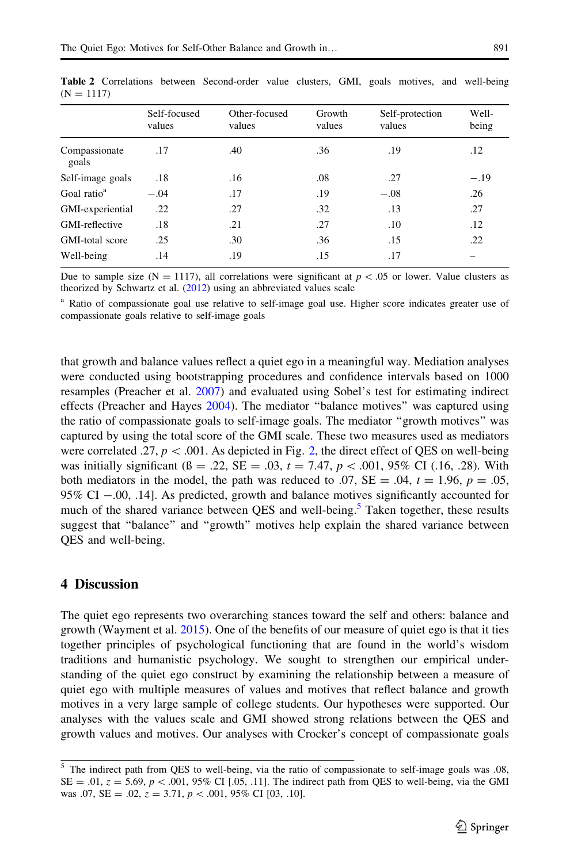|                         | Self-focused<br>values | Other-focused<br>values | Growth<br>values | Self-protection<br>values | Well-<br>being |
|-------------------------|------------------------|-------------------------|------------------|---------------------------|----------------|
| Compassionate<br>goals  | .17                    | .40                     | .36              | .19                       | .12            |
| Self-image goals        | .18                    | .16                     | .08              | .27                       | $-.19$         |
| Goal ratio <sup>a</sup> | $-.04$                 | .17                     | .19              | $-.08$                    | .26            |
| GMI-experiential        | .22                    | .27                     | .32              | .13                       | .27            |
| GMI-reflective          | .18                    | .21                     | .27              | .10                       | $.12\,$        |
| GMI-total score         | .25                    | .30                     | .36              | .15                       | .22            |
| Well-being              | .14                    | .19                     | .15              | .17                       |                |
|                         |                        |                         |                  |                           |                |

<span id="page-10-0"></span>Table 2 Correlations between Second-order value clusters, GMI, goals motives, and well-being  $(N = 1117)$ 

Due to sample size (N = 1117), all correlations were significant at  $p < .05$  or lower. Value clusters as theorized by Schwartz et al. ([2012](#page-15-0)) using an abbreviated values scale

<sup>a</sup> Ratio of compassionate goal use relative to self-image goal use. Higher score indicates greater use of compassionate goals relative to self-image goals

that growth and balance values reflect a quiet ego in a meaningful way. Mediation analyses were conducted using bootstrapping procedures and confidence intervals based on 1000 resamples (Preacher et al. [2007\)](#page-14-0) and evaluated using Sobel's test for estimating indirect effects (Preacher and Hayes [2004\)](#page-14-0). The mediator ''balance motives'' was captured using the ratio of compassionate goals to self-image goals. The mediator ''growth motives'' was captured by using the total score of the GMI scale. These two measures used as mediators were correlated .27,  $p \le 0.001$ . As depicted in Fig. [2,](#page-11-0) the direct effect of QES on well-being was initially significant ( $\beta = .22$ ,  $SE = .03$ ,  $t = 7.47$ ,  $p < .001$ , 95% CI (.16, .28). With both mediators in the model, the path was reduced to .07,  $SE = .04$ ,  $t = 1.96$ ,  $p = .05$ , 95% CI -.00, .14]. As predicted, growth and balance motives significantly accounted for much of the shared variance between QES and well-being. $5$  Taken together, these results suggest that ''balance'' and ''growth'' motives help explain the shared variance between QES and well-being.

### 4 Discussion

The quiet ego represents two overarching stances toward the self and others: balance and growth (Wayment et al. [2015](#page-15-0)). One of the benefits of our measure of quiet ego is that it ties together principles of psychological functioning that are found in the world's wisdom traditions and humanistic psychology. We sought to strengthen our empirical understanding of the quiet ego construct by examining the relationship between a measure of quiet ego with multiple measures of values and motives that reflect balance and growth motives in a very large sample of college students. Our hypotheses were supported. Our analyses with the values scale and GMI showed strong relations between the QES and growth values and motives. Our analyses with Crocker's concept of compassionate goals

<sup>5</sup> The indirect path from QES to well-being, via the ratio of compassionate to self-image goals was .08,  $SE = .01$ ,  $z = 5.69$ ,  $p < .001$ , 95% CI [.05, .11]. The indirect path from QES to well-being, via the GMI was .07,  $SE = .02$ ,  $z = 3.71$ ,  $p < .001$ , 95% CI [03, .10].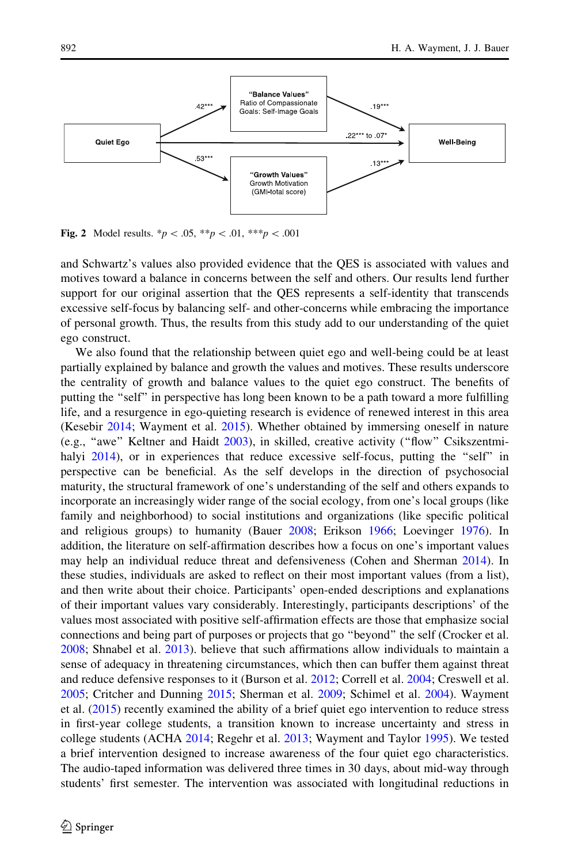<span id="page-11-0"></span>

**Fig. 2** Model results.  ${}^*p < .05$ ,  ${}^{**}p < .01$ ,  ${}^{***}p < .001$ 

and Schwartz's values also provided evidence that the QES is associated with values and motives toward a balance in concerns between the self and others. Our results lend further support for our original assertion that the QES represents a self-identity that transcends excessive self-focus by balancing self- and other-concerns while embracing the importance of personal growth. Thus, the results from this study add to our understanding of the quiet ego construct.

We also found that the relationship between quiet ego and well-being could be at least partially explained by balance and growth the values and motives. These results underscore the centrality of growth and balance values to the quiet ego construct. The benefits of putting the ''self'' in perspective has long been known to be a path toward a more fulfilling life, and a resurgence in ego-quieting research is evidence of renewed interest in this area (Kesebir [2014;](#page-14-0) Wayment et al. [2015\)](#page-15-0). Whether obtained by immersing oneself in nature (e.g., ''awe'' Keltner and Haidt [2003\)](#page-14-0), in skilled, creative activity (''flow'' Csikszentmi-halyi [2014](#page-14-0)), or in experiences that reduce excessive self-focus, putting the "self" in perspective can be beneficial. As the self develops in the direction of psychosocial maturity, the structural framework of one's understanding of the self and others expands to incorporate an increasingly wider range of the social ecology, from one's local groups (like family and neighborhood) to social institutions and organizations (like specific political and religious groups) to humanity (Bauer [2008;](#page-13-0) Erikson [1966](#page-14-0); Loevinger [1976](#page-14-0)). In addition, the literature on self-affirmation describes how a focus on one's important values may help an individual reduce threat and defensiveness (Cohen and Sherman [2014](#page-13-0)). In these studies, individuals are asked to reflect on their most important values (from a list), and then write about their choice. Participants' open-ended descriptions and explanations of their important values vary considerably. Interestingly, participants descriptions' of the values most associated with positive self-affirmation effects are those that emphasize social connections and being part of purposes or projects that go ''beyond'' the self (Crocker et al. [2008;](#page-14-0) Shnabel et al. [2013](#page-15-0)). believe that such affirmations allow individuals to maintain a sense of adequacy in threatening circumstances, which then can buffer them against threat and reduce defensive responses to it (Burson et al. [2012;](#page-13-0) Correll et al. [2004;](#page-13-0) Creswell et al. [2005;](#page-13-0) Critcher and Dunning [2015;](#page-13-0) Sherman et al. [2009](#page-15-0); Schimel et al. [2004\)](#page-14-0). Wayment et al. [\(2015](#page-15-0)) recently examined the ability of a brief quiet ego intervention to reduce stress in first-year college students, a transition known to increase uncertainty and stress in college students (ACHA [2014](#page-13-0); Regehr et al. [2013](#page-14-0); Wayment and Taylor [1995](#page-15-0)). We tested a brief intervention designed to increase awareness of the four quiet ego characteristics. The audio-taped information was delivered three times in 30 days, about mid-way through students' first semester. The intervention was associated with longitudinal reductions in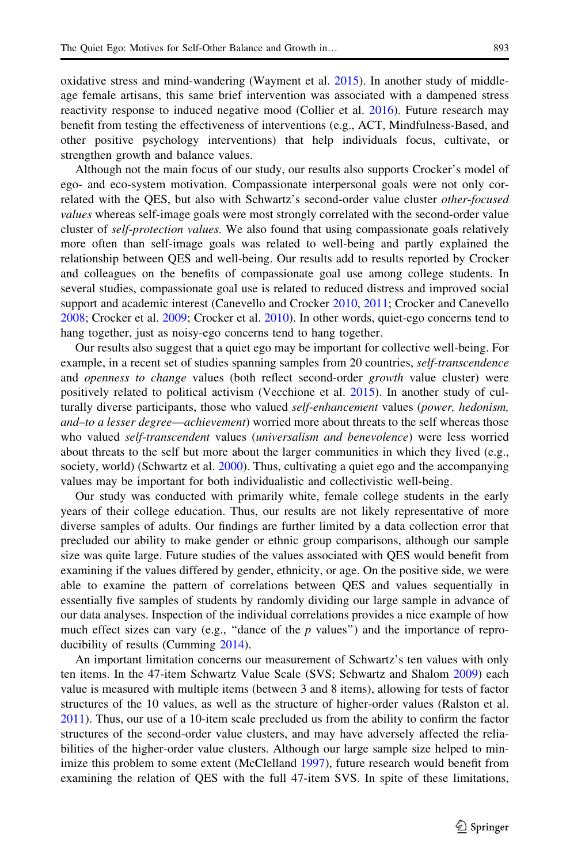oxidative stress and mind-wandering (Wayment et al. [2015\)](#page-15-0). In another study of middleage female artisans, this same brief intervention was associated with a dampened stress reactivity response to induced negative mood (Collier et al. [2016\)](#page-13-0). Future research may benefit from testing the effectiveness of interventions (e.g., ACT, Mindfulness-Based, and other positive psychology interventions) that help individuals focus, cultivate, or strengthen growth and balance values.

Although not the main focus of our study, our results also supports Crocker's model of ego- and eco-system motivation. Compassionate interpersonal goals were not only correlated with the QES, but also with Schwartz's second-order value cluster *other-focused* values whereas self-image goals were most strongly correlated with the second-order value cluster of *self-protection values*. We also found that using compassionate goals relatively more often than self-image goals was related to well-being and partly explained the relationship between QES and well-being. Our results add to results reported by Crocker and colleagues on the benefits of compassionate goal use among college students. In several studies, compassionate goal use is related to reduced distress and improved social support and academic interest (Canevello and Crocker [2010,](#page-13-0) [2011](#page-13-0); Crocker and Canevello [2008;](#page-13-0) Crocker et al. [2009](#page-14-0); Crocker et al. [2010\)](#page-14-0). In other words, quiet-ego concerns tend to hang together, just as noisy-ego concerns tend to hang together.

Our results also suggest that a quiet ego may be important for collective well-being. For example, in a recent set of studies spanning samples from 20 countries, *self-transcendence* and *openness to change* values (both reflect second-order *growth* value cluster) were positively related to political activism (Vecchione et al. [2015](#page-15-0)). In another study of culturally diverse participants, those who valued *self-enhancement* values (*power, hedonism*, and–to a lesser degree—achievement) worried more about threats to the self whereas those who valued self-transcendent values (universalism and benevolence) were less worried about threats to the self but more about the larger communities in which they lived (e.g., society, world) (Schwartz et al. [2000](#page-15-0)). Thus, cultivating a quiet ego and the accompanying values may be important for both individualistic and collectivistic well-being.

Our study was conducted with primarily white, female college students in the early years of their college education. Thus, our results are not likely representative of more diverse samples of adults. Our findings are further limited by a data collection error that precluded our ability to make gender or ethnic group comparisons, although our sample size was quite large. Future studies of the values associated with QES would benefit from examining if the values differed by gender, ethnicity, or age. On the positive side, we were able to examine the pattern of correlations between QES and values sequentially in essentially five samples of students by randomly dividing our large sample in advance of our data analyses. Inspection of the individual correlations provides a nice example of how much effect sizes can vary (e.g., "dance of the  $p$  values") and the importance of reproducibility of results (Cumming [2014](#page-14-0)).

An important limitation concerns our measurement of Schwartz's ten values with only ten items. In the 47-item Schwartz Value Scale (SVS; Schwartz and Shalom [2009\)](#page-15-0) each value is measured with multiple items (between 3 and 8 items), allowing for tests of factor structures of the 10 values, as well as the structure of higher-order values (Ralston et al. [2011\)](#page-14-0). Thus, our use of a 10-item scale precluded us from the ability to confirm the factor structures of the second-order value clusters, and may have adversely affected the reliabilities of the higher-order value clusters. Although our large sample size helped to minimize this problem to some extent (McClelland [1997\)](#page-14-0), future research would benefit from examining the relation of QES with the full 47-item SVS. In spite of these limitations,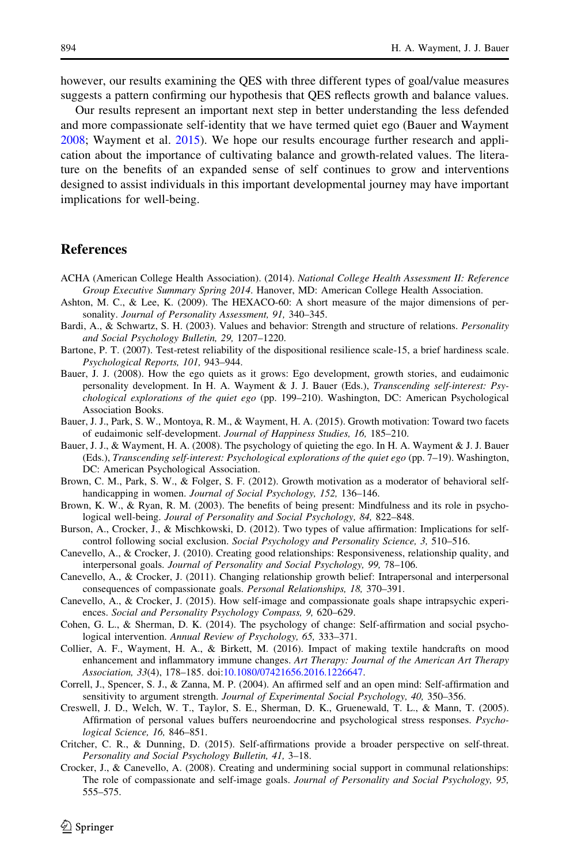<span id="page-13-0"></span>however, our results examining the QES with three different types of goal/value measures suggests a pattern confirming our hypothesis that QES reflects growth and balance values.

Our results represent an important next step in better understanding the less defended and more compassionate self-identity that we have termed quiet ego (Bauer and Wayment 2008; Wayment et al. [2015](#page-15-0)). We hope our results encourage further research and application about the importance of cultivating balance and growth-related values. The literature on the benefits of an expanded sense of self continues to grow and interventions designed to assist individuals in this important developmental journey may have important implications for well-being.

# **References**

- ACHA (American College Health Association). (2014). National College Health Assessment II: Reference Group Executive Summary Spring 2014. Hanover, MD: American College Health Association.
- Ashton, M. C., & Lee, K. (2009). The HEXACO-60: A short measure of the major dimensions of personality. Journal of Personality Assessment, 91, 340–345.
- Bardi, A., & Schwartz, S. H. (2003). Values and behavior: Strength and structure of relations. Personality and Social Psychology Bulletin, 29, 1207–1220.
- Bartone, P. T. (2007). Test-retest reliability of the dispositional resilience scale-15, a brief hardiness scale. Psychological Reports, 101, 943–944.
- Bauer, J. J. (2008). How the ego quiets as it grows: Ego development, growth stories, and eudaimonic personality development. In H. A. Wayment & J. J. Bauer (Eds.), Transcending self-interest: Psychological explorations of the quiet ego (pp. 199–210). Washington, DC: American Psychological Association Books.
- Bauer, J. J., Park, S. W., Montoya, R. M., & Wayment, H. A. (2015). Growth motivation: Toward two facets of eudaimonic self-development. Journal of Happiness Studies, 16, 185–210.
- Bauer, J. J., & Wayment, H. A. (2008). The psychology of quieting the ego. In H. A. Wayment & J. J. Bauer (Eds.), Transcending self-interest: Psychological explorations of the quiet ego (pp. 7–19). Washington, DC: American Psychological Association.
- Brown, C. M., Park, S. W., & Folger, S. F. (2012). Growth motivation as a moderator of behavioral selfhandicapping in women. Journal of Social Psychology, 152, 136–146.
- Brown, K. W., & Ryan, R. M. (2003). The benefits of being present: Mindfulness and its role in psychological well-being. Joural of Personality and Social Psychology, 84, 822–848.
- Burson, A., Crocker, J., & Mischkowski, D. (2012). Two types of value affirmation: Implications for selfcontrol following social exclusion. Social Psychology and Personality Science, 3, 510-516.
- Canevello, A., & Crocker, J. (2010). Creating good relationships: Responsiveness, relationship quality, and interpersonal goals. Journal of Personality and Social Psychology, 99, 78–106.
- Canevello, A., & Crocker, J. (2011). Changing relationship growth belief: Intrapersonal and interpersonal consequences of compassionate goals. Personal Relationships, 18, 370–391.
- Canevello, A., & Crocker, J. (2015). How self-image and compassionate goals shape intrapsychic experiences. Social and Personality Psychology Compass, 9, 620–629.
- Cohen, G. L., & Sherman, D. K. (2014). The psychology of change: Self-affirmation and social psychological intervention. Annual Review of Psychology, 65, 333–371.
- Collier, A. F., Wayment, H. A., & Birkett, M. (2016). Impact of making textile handcrafts on mood enhancement and inflammatory immune changes. Art Therapy: Journal of the American Art Therapy Association, 33(4), 178–185. doi[:10.1080/07421656.2016.1226647.](http://dx.doi.org/10.1080/07421656.2016.1226647)
- Correll, J., Spencer, S. J., & Zanna, M. P. (2004). An affirmed self and an open mind: Self-affirmation and sensitivity to argument strength. Journal of Experimental Social Psychology, 40, 350–356.
- Creswell, J. D., Welch, W. T., Taylor, S. E., Sherman, D. K., Gruenewald, T. L., & Mann, T. (2005). Affirmation of personal values buffers neuroendocrine and psychological stress responses. Psychological Science, 16, 846–851.
- Critcher, C. R., & Dunning, D. (2015). Self-affirmations provide a broader perspective on self-threat. Personality and Social Psychology Bulletin, 41, 3–18.
- Crocker, J., & Canevello, A. (2008). Creating and undermining social support in communal relationships: The role of compassionate and self-image goals. Journal of Personality and Social Psychology, 95, 555–575.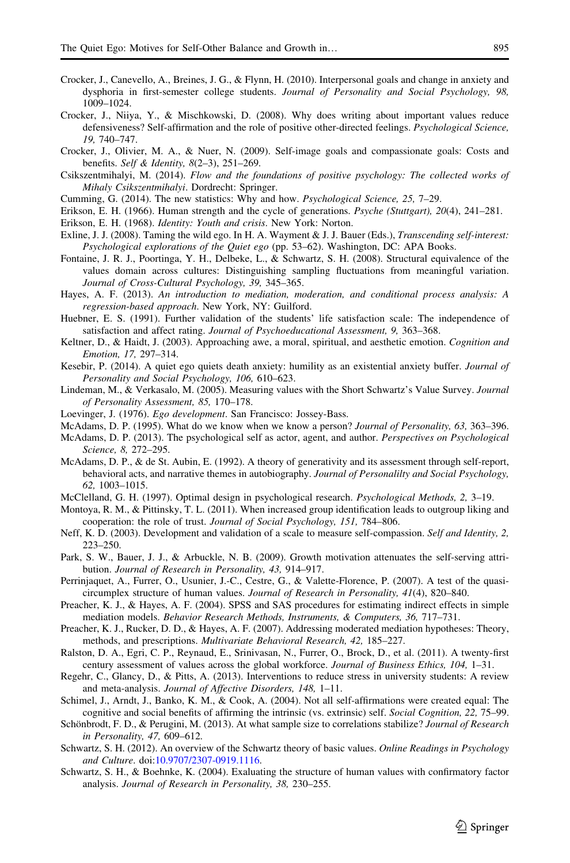- <span id="page-14-0"></span>Crocker, J., Canevello, A., Breines, J. G., & Flynn, H. (2010). Interpersonal goals and change in anxiety and dysphoria in first-semester college students. Journal of Personality and Social Psychology, 98, 1009–1024.
- Crocker, J., Niiya, Y., & Mischkowski, D. (2008). Why does writing about important values reduce defensiveness? Self-affirmation and the role of positive other-directed feelings. Psychological Science, 19, 740–747.
- Crocker, J., Olivier, M. A., & Nuer, N. (2009). Self-image goals and compassionate goals: Costs and benefits. Self & Identity, 8(2–3), 251–269.
- Csikszentmihalyi, M. (2014). Flow and the foundations of positive psychology: The collected works of Mihaly Csikszentmihalyi. Dordrecht: Springer.
- Cumming, G. (2014). The new statistics: Why and how. Psychological Science, 25, 7–29.
- Erikson, E. H. (1966). Human strength and the cycle of generations. Psyche (Stuttgart), 20(4), 241–281.
- Erikson, E. H. (1968). Identity: Youth and crisis. New York: Norton.
- Exline, J. J. (2008). Taming the wild ego. In H. A. Wayment & J. J. Bauer (Eds.), Transcending self-interest: Psychological explorations of the Quiet ego (pp. 53–62). Washington, DC: APA Books.
- Fontaine, J. R. J., Poortinga, Y. H., Delbeke, L., & Schwartz, S. H. (2008). Structural equivalence of the values domain across cultures: Distinguishing sampling fluctuations from meaningful variation. Journal of Cross-Cultural Psychology, 39, 345–365.
- Hayes, A. F. (2013). An introduction to mediation, moderation, and conditional process analysis: A regression-based approach. New York, NY: Guilford.
- Huebner, E. S. (1991). Further validation of the students' life satisfaction scale: The independence of satisfaction and affect rating. Journal of Psychoeducational Assessment, 9, 363–368.
- Keltner, D., & Haidt, J. (2003). Approaching awe, a moral, spiritual, and aesthetic emotion. Cognition and Emotion, 17, 297–314.
- Kesebir, P. (2014). A quiet ego quiets death anxiety: humility as an existential anxiety buffer. Journal of Personality and Social Psychology, 106, 610–623.
- Lindeman, M., & Verkasalo, M. (2005). Measuring values with the Short Schwartz's Value Survey. *Journal* of Personality Assessment, 85, 170–178.
- Loevinger, J. (1976). Ego development. San Francisco: Jossey-Bass.
- McAdams, D. P. (1995). What do we know when we know a person? Journal of Personality, 63, 363–396.
- McAdams, D. P. (2013). The psychological self as actor, agent, and author. Perspectives on Psychological Science, 8, 272–295.
- McAdams, D. P., & de St. Aubin, E. (1992). A theory of generativity and its assessment through self-report, behavioral acts, and narrative themes in autobiography. Journal of Personalilty and Social Psychology, 62, 1003–1015.
- McClelland, G. H. (1997). Optimal design in psychological research. Psychological Methods, 2, 3-19.
- Montoya, R. M., & Pittinsky, T. L. (2011). When increased group identification leads to outgroup liking and cooperation: the role of trust. Journal of Social Psychology, 151, 784–806.
- Neff, K. D. (2003). Development and validation of a scale to measure self-compassion. Self and Identity, 2, 223–250.
- Park, S. W., Bauer, J. J., & Arbuckle, N. B. (2009). Growth motivation attenuates the self-serving attribution. Journal of Research in Personality, 43, 914–917.
- Perrinjaquet, A., Furrer, O., Usunier, J.-C., Cestre, G., & Valette-Florence, P. (2007). A test of the quasicircumplex structure of human values. Journal of Research in Personality, 41(4), 820–840.
- Preacher, K. J., & Hayes, A. F. (2004). SPSS and SAS procedures for estimating indirect effects in simple mediation models. Behavior Research Methods, Instruments, & Computers, 36, 717–731.
- Preacher, K. J., Rucker, D. D., & Hayes, A. F. (2007). Addressing moderated mediation hypotheses: Theory, methods, and prescriptions. Multivariate Behavioral Research, 42, 185–227.
- Ralston, D. A., Egri, C. P., Reynaud, E., Srinivasan, N., Furrer, O., Brock, D., et al. (2011). A twenty-first century assessment of values across the global workforce. Journal of Business Ethics, 104, 1–31.
- Regehr, C., Glancy, D., & Pitts, A. (2013). Interventions to reduce stress in university students: A review and meta-analysis. Journal of Affective Disorders, 148, 1–11.
- Schimel, J., Arndt, J., Banko, K. M., & Cook, A. (2004). Not all self-affirmations were created equal: The cognitive and social benefits of affirming the intrinsic (vs. extrinsic) self. Social Cognition, 22, 75–99.
- Schönbrodt, F. D., & Perugini, M. (2013). At what sample size to correlations stabilize? Journal of Research in Personality, 47, 609–612.
- Schwartz, S. H. (2012). An overview of the Schwartz theory of basic values. Online Readings in Psychology and Culture. doi:[10.9707/2307-0919.1116](http://dx.doi.org/10.9707/2307-0919.1116).
- Schwartz, S. H., & Boehnke, K. (2004). Exaluating the structure of human values with confirmatory factor analysis. Journal of Research in Personality, 38, 230–255.